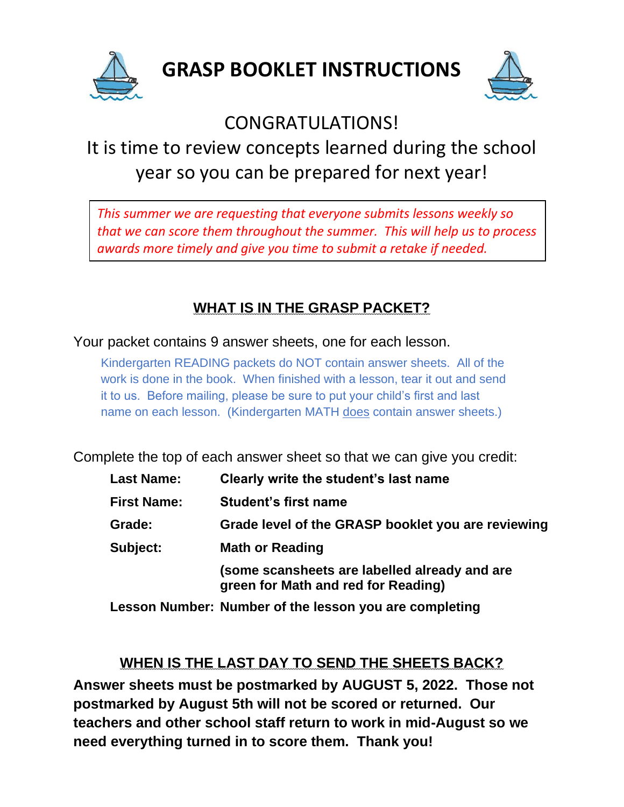



## CONGRATULATIONS!

# It is time to review concepts learned during the school year so you can be prepared for next year!

*This summer we are requesting that everyone submits lessons weekly so that we can score them throughout the summer. This will help us to process awards more timely and give you time to submit a retake if needed.*

## **WHAT IS IN THE GRASP PACKET?**

Your packet contains 9 answer sheets, one for each lesson.

Kindergarten READING packets do NOT contain answer sheets. All of the work is done in the book. When finished with a lesson, tear it out and send it to us. Before mailing, please be sure to put your child's first and last name on each lesson. (Kindergarten MATH does contain answer sheets.)

Complete the top of each answer sheet so that we can give you credit:

| <b>Last Name:</b>  | Clearly write the student's last name                                                |
|--------------------|--------------------------------------------------------------------------------------|
| <b>First Name:</b> | <b>Student's first name</b>                                                          |
| Grade:             | Grade level of the GRASP booklet you are reviewing                                   |
| Subject:           | <b>Math or Reading</b>                                                               |
|                    | (some scansheets are labelled already and are<br>green for Math and red for Reading) |
|                    | Lesson Number: Number of the lesson you are completing                               |

### **WHEN IS THE LAST DAY TO SEND THE SHEETS BACK?**

**Answer sheets must be postmarked by AUGUST 5, 2022. Those not postmarked by August 5th will not be scored or returned. Our teachers and other school staff return to work in mid-August so we need everything turned in to score them. Thank you!**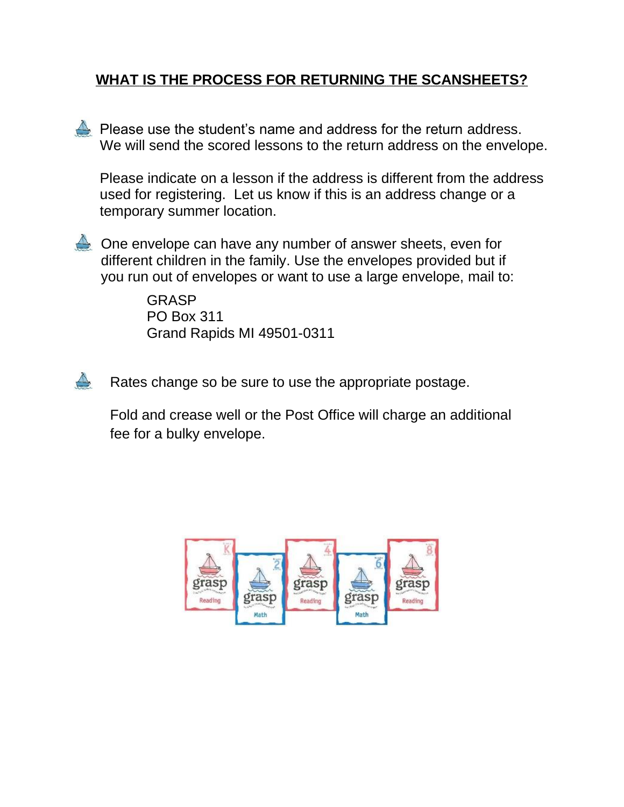#### **WHAT IS THE PROCESS FOR RETURNING THE SCANSHEETS?**

**A** Please use the student's name and address for the return address. We will send the scored lessons to the return address on the envelope.

Please indicate on a lesson if the address is different from the address used for registering. Let us know if this is an address change or a temporary summer location.



One envelope can have any number of answer sheets, even for different children in the family. Use the envelopes provided but if you run out of envelopes or want to use a large envelope, mail to:

> GRASP PO Box 311 Grand Rapids MI 49501-0311

 $\triangle$ Rates change so be sure to use the appropriate postage.

Fold and crease well or the Post Office will charge an additional fee for a bulky envelope.

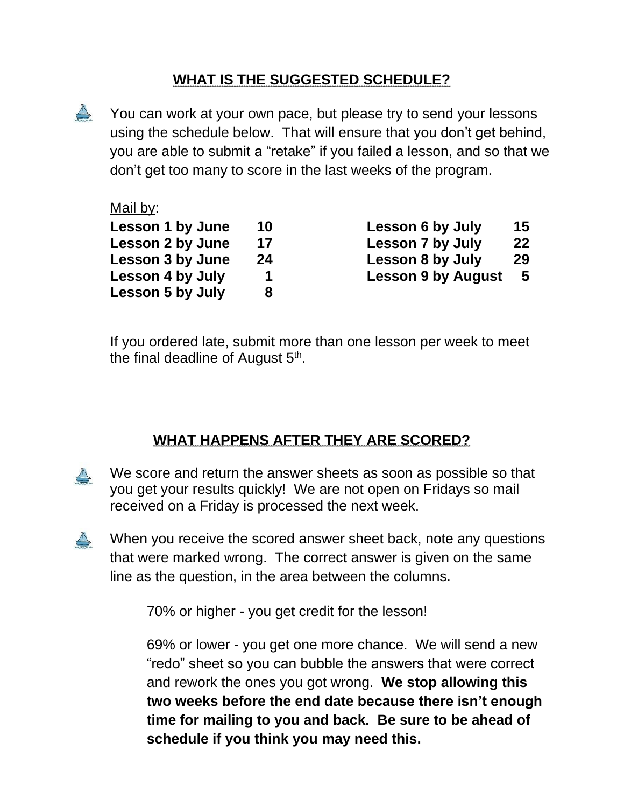#### **WHAT IS THE SUGGESTED SCHEDULE?**

 $\triangle$ You can work at your own pace, but please try to send your lessons using the schedule below. That will ensure that you don't get behind, you are able to submit a "retake" if you failed a lesson, and so that we don't get too many to score in the last weeks of the program.

#### Mail by:

| <b>Lesson 1 by June</b> | 10 |
|-------------------------|----|
| <b>Lesson 2 by June</b> | 17 |
| <b>Lesson 3 by June</b> | 24 |
| Lesson 4 by July        | 1  |
| <b>Lesson 5 by July</b> | 8  |

**Lesson 6 by July 15 Lesson 7 by July 22 Lesson 8 by July** 29 **Lesson 9 by August 5** 

If you ordered late, submit more than one lesson per week to meet the final deadline of August 5<sup>th</sup>.

#### **WHAT HAPPENS AFTER THEY ARE SCORED?**

- We score and return the answer sheets as soon as possible so that you get your results quickly! We are not open on Fridays so mail received on a Friday is processed the next week.
- $\triangle$ When you receive the scored answer sheet back, note any questions that were marked wrong. The correct answer is given on the same line as the question, in the area between the columns.

70% or higher - you get credit for the lesson!

69% or lower - you get one more chance. We will send a new "redo" sheet so you can bubble the answers that were correct and rework the ones you got wrong. **We stop allowing this two weeks before the end date because there isn't enough time for mailing to you and back. Be sure to be ahead of schedule if you think you may need this.**